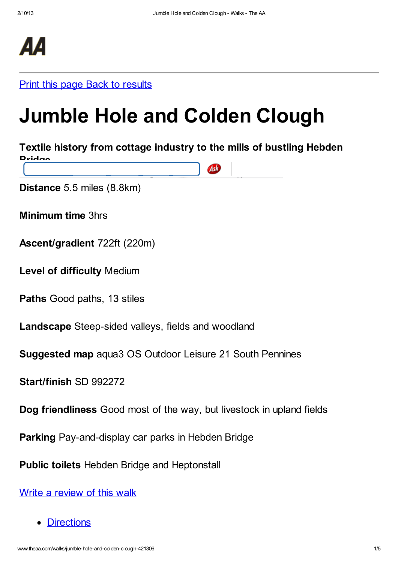## **Print this page Back to results**

## Jumble Hole and Colden Clough

Textile history from cottage industry to the mills of bustling Hebden **Dridoo** 

Distance 5.5 miles (8.8km)

Minimum time 3hrs

Ascent/gradient 722ft (220m)

Level of difficulty Medium

Paths Good paths, 13 stiles

Landscape Steep-sided valleys, fields and woodland

Suggested map aqua3 OS Outdoor Leisure 21 South Pennines

Start/finish SD 992272

Dog friendliness Good most of the way, but livestock in upland fields

Parking Pay-and-display car parks in Hebden Bridge

Public toilets Hebden Bridge and Heptonstall

Write a review of this walk

**Directions**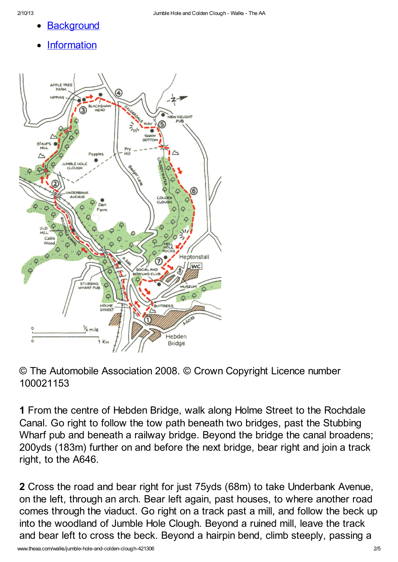- [Background](http://www.theaa.com/walks/jumble-hole-and-colden-clough-421306#background)
- **[Information](http://www.theaa.com/walks/jumble-hole-and-colden-clough-421306#information)**



© The Automobile Association 2008. © Crown Copyright Licence number 100021153

1 From the centre of Hebden Bridge, walk along Holme Street to the Rochdale Canal. Go right to follow the tow path beneath two bridges, past the Stubbing Wharf pub and beneath a railway bridge. Beyond the bridge the canal broadens; 200yds (183m) further on and before the next bridge, bear right and join a track right, to the A646.

2 Cross the road and bear right for just 75yds (68m) to take Underbank Avenue, on the left, through an arch. Bear left again, past houses, to where another road comes through the viaduct. Go right on a track past a mill, and follow the beck up into the woodland of Jumble Hole Clough. Beyond a ruined mill, leave the track and bear left to cross the beck. Beyond a hairpin bend, climb steeply, passing a

www.theaa.com/walks/jumble-hole-and-colden-clough-421306 2/5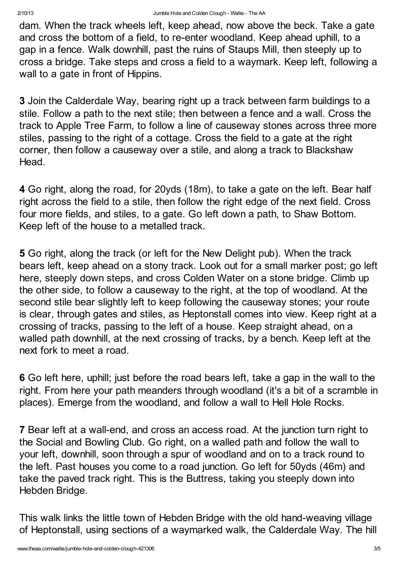dam. When the track wheels left, keep ahead, now above the beck. Take a gate and cross the bottom of a field, to re-enter woodland. Keep ahead uphill, to a gap in a fence. Walk downhill, past the ruins of Staups Mill, then steeply up to cross a bridge. Take steps and cross a field to a waymark. Keep left, following a wall to a gate in front of Hippins.

3 Join the Calderdale Way, bearing right up a track between farm buildings to a stile. Follow a path to the next stile; then between a fence and a wall. Cross the track to Apple Tree Farm, to follow a line of causeway stones across three more stiles, passing to the right of a cottage. Cross the field to a gate at the right corner, then follow a causeway over a stile, and along a track to Blackshaw Head.

4 Go right, along the road, for 20yds (18m), to take a gate on the left. Bear half right across the field to a stile, then follow the right edge of the next field. Cross four more fields, and stiles, to a gate. Go left down a path, to Shaw Bottom. Keep left of the house to a metalled track.

5 Go right, along the track (or left for the New Delight pub). When the track bears left, keep ahead on a stony track. Look out for a small marker post; go left here, steeply down steps, and cross Colden Water on a stone bridge. Climb up the other side, to follow a causeway to the right, at the top of woodland. At the second stile bear slightly left to keep following the causeway stones; your route is clear, through gates and stiles, as Heptonstall comes into view. Keep right at a crossing of tracks, passing to the left of a house. Keep straight ahead, on a walled path downhill, at the next crossing of tracks, by a bench. Keep left at the next fork to meet a road.

6 Go left here, uphill; just before the road bears left, take a gap in the wall to the right. From here your path meanders through woodland (it's a bit of a scramble in places). Emerge from the woodland, and follow a wall to Hell Hole Rocks.

7 Bear left at a wall-end, and cross an access road. At the junction turn right to the Social and Bowling Club. Go right, on a walled path and follow the wall to your left, downhill, soon through a spur of woodland and on to a track round to the left. Past houses you come to a road junction. Go left for 50yds (46m) and take the paved track right. This is the Buttress, taking you steeply down into Hebden Bridge.

This walk links the little town of Hebden Bridge with the old hand-weaving village of Heptonstall, using sections of a waymarked walk, the Calderdale Way. The hill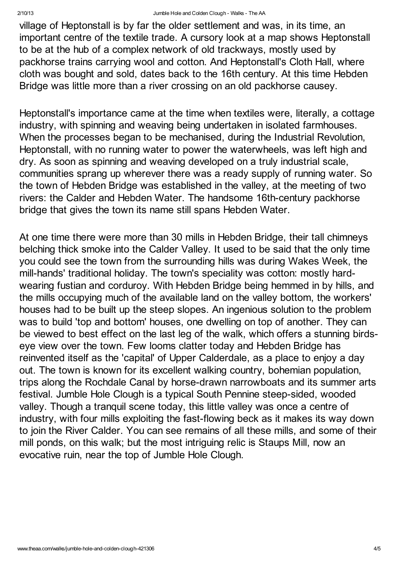village of Heptonstall is by far the older settlement and was, in its time, an important centre of the textile trade. A cursory look at a map shows Heptonstall to be at the hub of a complex network of old trackways, mostly used by packhorse trains carrying wool and cotton. And Heptonstall's Cloth Hall, where cloth was bought and sold, dates back to the 16th century. At this time Hebden Bridge was little more than a river crossing on an old packhorse causey.

Heptonstall's importance came at the time when textiles were, literally, a cottage industry, with spinning and weaving being undertaken in isolated farmhouses. When the processes began to be mechanised, during the Industrial Revolution, Heptonstall, with no running water to power the waterwheels, was left high and dry. As soon as spinning and weaving developed on a truly industrial scale, communities sprang up wherever there was a ready supply of running water. So the town of Hebden Bridge was established in the valley, at the meeting of two rivers: the Calder and Hebden Water. The handsome 16th-century packhorse bridge that gives the town its name still spans Hebden Water.

At one time there were more than 30 mills in Hebden Bridge, their tall chimneys belching thick smoke into the Calder Valley. It used to be said that the only time you could see the town from the surrounding hills was during Wakes Week, the mill-hands' traditional holiday. The town's speciality was cotton: mostly hardwearing fustian and corduroy. With Hebden Bridge being hemmed in by hills, and the mills occupying much of the available land on the valley bottom, the workers' houses had to be built up the steep slopes. An ingenious solution to the problem was to build 'top and bottom' houses, one dwelling on top of another. They can be viewed to best effect on the last leg of the walk, which offers a stunning birdseye view over the town. Few looms clatter today and Hebden Bridge has reinvented itself as the 'capital' of Upper Calderdale, as a place to enjoy a day out. The town is known for its excellent walking country, bohemian population, trips along the Rochdale Canal by horse-drawn narrowboats and its summer arts festival. Jumble Hole Clough is a typical South Pennine steep-sided, wooded valley. Though a tranquil scene today, this little valley was once a centre of industry, with four mills exploiting the fast-flowing beck as it makes its way down to join the River Calder. You can see remains of all these mills, and some of their mill ponds, on this walk; but the most intriguing relic is Staups Mill, now an evocative ruin, near the top of Jumble Hole Clough.